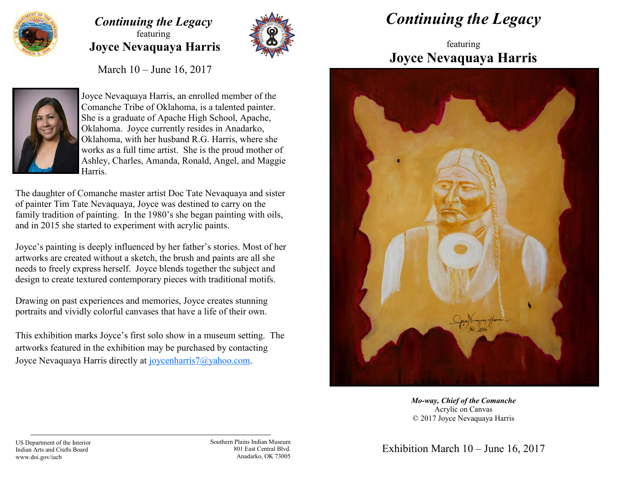

## *Continuing the Legacy* featuring **Joyce Nevaquaya Harris**



March 10 – June 16, 2017



Joyce Nevaquaya Harris, an enrolled member of the Comanche Tribe of Oklahoma, is a talented painter. She is a graduate of Apache High School, Apache, Oklahoma. Joyce currently resides in Anadarko, Oklahoma, with her husband R.G. Harris, where she works as a full time artist. She is the proud mother of Ashley, Charles, Amanda, Ronald, Angel, and Maggie Harris.

The daughter of Comanche master artist Doc Tate Nevaquaya and sister of painter Tim Tate Nevaquaya, Joyce was destined to carry on the family tradition of painting. In the 1980's she began painting with oils, and in 2015 she started to experiment with acrylic paints.

Joyce's painting is deeply influenced by her father's stories. Most of her artworks are created without a sketch, the brush and paints are all she needs to freely express herself. Joyce blends together the subject and design to create textured contemporary pieces with traditional motifs.

Drawing on past experiences and memories, Joyce creates stunning portraits and vividly colorful canvases that have a life of their own.

This exhibition marks Joyce's first solo show in a museum setting. The artworks featured in the exhibition may be purchased by contacting Joyce Nevaquaya Harris directly at joycenharris7@yahoo.com.

## *Continuing the Legacy*

## featuring **Joyce Nevaquaya Harris**



*Mo-way, Chief of the Comanche* Acrylic on Canvas © 2017 Joyce Nevaquaya Harris

Southern Plains Indian Museum 801 East Central Blvd. Anadarko, OK 73005

Exhibition March 10 – June 16, 2017